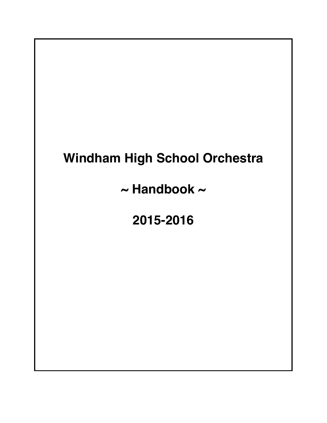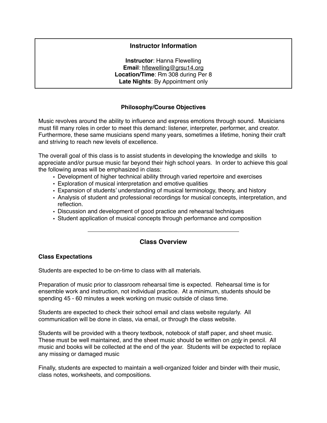# **Instructor Information**

**Instructor**: Hanna Flewelling **Email**: [hflewelling@grsu14.org](mailto:hflewelling@grsu14.org) **Location/Time**: Rm 308 during Per 8 **Late Nights**: By Appointment only

## **Philosophy/Course Objectives**

Music revolves around the ability to influence and express emotions through sound. Musicians must fill many roles in order to meet this demand: listener, interpreter, performer, and creator. Furthermore, these same musicians spend many years, sometimes a lifetime, honing their craft and striving to reach new levels of excellence.

The overall goal of this class is to assist students in developing the knowledge and skills to appreciate and/or pursue music far beyond their high school years. In order to achieve this goal the following areas will be emphasized in class:

- Development of higher technical ability through varied repertoire and exercises
- Exploration of musical interpretation and emotive qualities
- Expansion of students' understanding of musical terminology, theory, and history
- Analysis of student and professional recordings for musical concepts, interpretation, and reflection.
- Discussion and development of good practice and rehearsal techniques
- Student application of musical concepts through performance and composition

# **Class Overview**

## **Class Expectations**

Students are expected to be on-time to class with all materials.

Preparation of music prior to classroom rehearsal time is expected. Rehearsal time is for ensemble work and instruction, not individual practice. At a minimum, students should be spending 45 - 60 minutes a week working on music outside of class time.

Students are expected to check their school email and class website regularly. All communication will be done in class, via email, or through the class website.

Students will be provided with a theory textbook, notebook of staff paper, and sheet music. These must be well maintained, and the sheet music should be written on *only* in pencil. All music and books will be collected at the end of the year. Students will be expected to replace any missing or damaged music

Finally, students are expected to maintain a well-organized folder and binder with their music, class notes, worksheets, and compositions.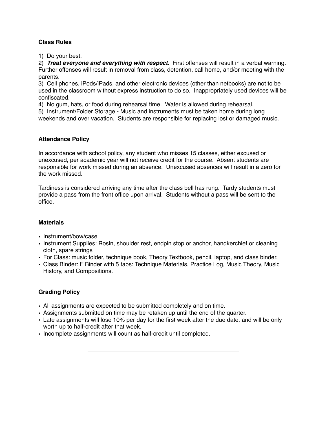# **Class Rules**

1) Do your best.

2) *Treat everyone and everything with respect.* First offenses will result in a verbal warning. Further offenses will result in removal from class, detention, call home, and/or meeting with the parents.

3) Cell phones, iPods/iPads, and other electronic devices (other than netbooks) are not to be used in the classroom without express instruction to do so. Inappropriately used devices will be confiscated.

4) No gum, hats, or food during rehearsal time. Water is allowed during rehearsal.

5) Instrument/Folder Storage - Music and instruments must be taken home during long weekends and over vacation. Students are responsible for replacing lost or damaged music.

## **Attendance Policy**

In accordance with school policy, any student who misses 15 classes, either excused or unexcused, per academic year will not receive credit for the course. Absent students are responsible for work missed during an absence. Unexcused absences will result in a zero for the work missed.

Tardiness is considered arriving any time after the class bell has rung. Tardy students must provide a pass from the front office upon arrival. Students without a pass will be sent to the office.

## **Materials**

- Instrument/bow/case
- Instrument Supplies: Rosin, shoulder rest, endpin stop or anchor, handkerchief or cleaning cloth, spare strings
- For Class: music folder, technique book, Theory Textbook, pencil, laptop, and class binder.
- Class Binder: I" Binder with 5 tabs: Technique Materials, Practice Log, Music Theory, Music History, and Compositions.

# **Grading Policy**

- All assignments are expected to be submitted completely and on time.
- Assignments submitted on time may be retaken up until the end of the quarter.
- Late assignments will lose 10% per day for the first week after the due date, and will be only worth up to half-credit after that week.
- Incomplete assignments will count as half-credit until completed.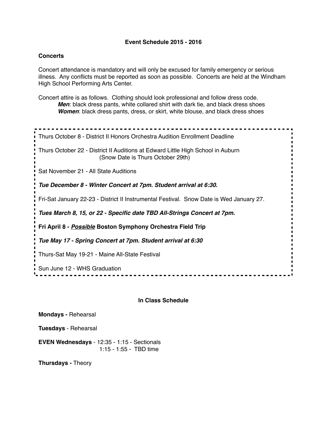### **Event Schedule 2015 - 2016**

### **Concerts**

Concert attendance is mandatory and will only be excused for family emergency or serious illness. Any conflicts must be reported as soon as possible. Concerts are held at the Windham High School Performing Arts Center.

Concert attire is as follows. Clothing should look professional and follow dress code. *Men*: black dress pants, white collared shirt with dark tie, and black dress shoes *Women*: black dress pants, dress, or skirt, white blouse, and black dress shoes

Thurs October 8 - District II Honors Orchestra Audition Enrollment Deadline Thurs October 22 - District II Auditions at Edward Little High School in Auburn (Snow Date is Thurs October 29th) Sat November 21 - All State Auditions *Tue December 8 - Winter Concert at 7pm. Student arrival at 6:30.* Fri-Sat January 22-23 - District II Instrumental Festival. Snow Date is Wed January 27. *Tues March 8, 15, or 22 - Specific date TBD All-Strings Concert at 7pm.* **Fri April 8 -** *Possible* **Boston Symphony Orchestra Field Trip** *Tue May 17 - Spring Concert at 7pm. Student arrival at 6:30* Thurs-Sat May 19-21 - Maine All-State Festival Sun June 12 - WHS Graduation 

#### **In Class Schedule**

**Mondays -** Rehearsal

**Tuesdays** - Rehearsal

**EVEN Wednesdays** - 12:35 - 1:15 - Sectionals 1:15 - 1:55 - TBD time

**Thursdays -** Theory